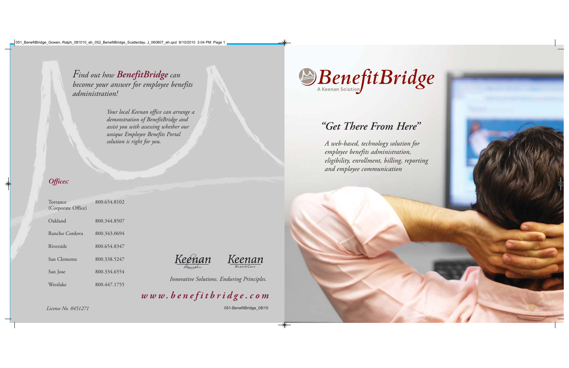

| Torrance<br>(Corporate Office) | 800.654.8102 |
|--------------------------------|--------------|
| Oakland                        | 800.344.8507 |
| Rancho Cordova                 | 800.343.0694 |
| Riverside                      | 800.654.8347 |
| San Clemente                   | 800.338.5247 |
| San Jose                       | 800.334.6554 |
| Westlake                       | 800.447.1755 |





*www.benefitbridge.com*





*Find out how BenefitBridge can become your answer for employee benefits administration!*

> *Your local Keenan office can arrange a demonstration of BenefitBridge and assist you with assessing whether our unique Employee Benefits Portal solution is right for you.*

*Innovative Solutions. Enduring Principles.*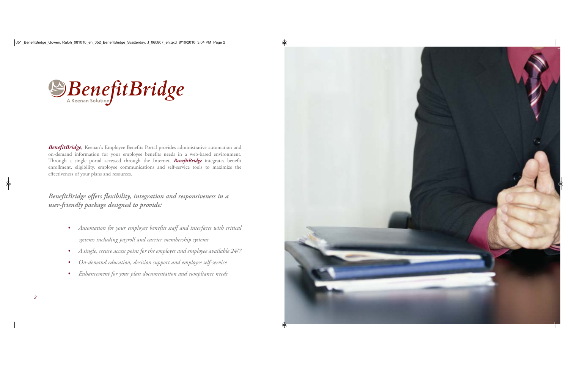

**BenefitBridge**, Keenan's Employee Benefits Portal provides administrative automation and on-demand information for your employee benefits needs in a web-based environment. Through a single portal accessed through the Internet, *BenefitBridge* integrates benefit enrollment, eligibility, employee communications and self-service tools to maximize the effectiveness of your plans and resources.

*BenefitBridge offers flexibility, integration and responsiveness in a user-friendly package designed to provide:*

- *• Automation for your employee benefits staff and interfaces with critical systems including payroll and carrier membership systems*
- *•A single, secure access point for the employer and employee available 24/7*
- *•On-demand education, decision support and employee self-service*
- *•Enhancement for your plan documentation and compliance needs*

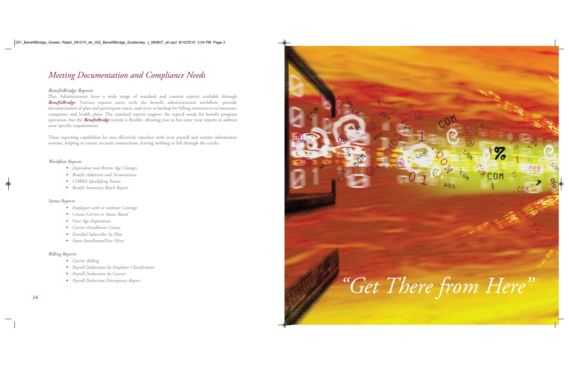

# *Meeting Documentation and Compliance Needs*

### *BenefitBridge Reports*

Plan Administrators have a wide range of standard and custom reports available through **BenefitBridge**. Various reports assist with the benefit administration workflow, provide documentation of plan and participant status, and serve as backup for billing remittances to insurance companies and health plans. The standard reports support the typical needs for benefit program operation, but the *BenefitBridge* system is flexible, allowing you to fine-tune your reports to address your specific requirements.

These reporting capabilities let you effectively interface with your payroll and vendor information systems, helping to ensure accurate transactions, leaving nothing to fall through the cracks.

### *Workflow Reports*

- *• Dependent and Retiree Age Changes*
- *• Benefit Additions and Terminations*
- *• COBRA Qualifying Events*
- *• Benefit Summary Batch Report*

### *Status Reports*

- *• Employees with or without Coverage*
- *• Census-Carrier or Status Based*
- *• Over Age Dependents*
- *• Carrier Enrollment Census*
- *• Enrolled Subscriber by Plan*
- *• Open Enrollment/New Hires*

# *Billing Reports*

- *• Carrier Billing*
- *• Payroll Deductions by Employee Classification*
- *• Payroll Deductions by Carrier*
- *• Payroll Deduction Discrepancy Report*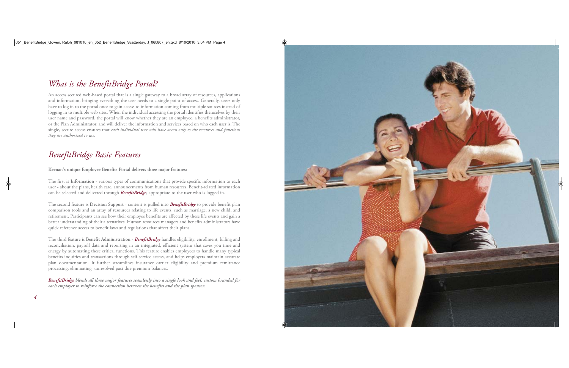# *What is the BenefitBridge Portal?*

An access secured web-based portal that is a single gateway to a broad array of resources, applications and information, bringing everything the user needs to a single point of access. Generally, users only have to log in to the portal once to gain access to information coming from multiple sources instead of logging in to multiple web sites. When the individual accessing the portal identifies themselves by their user name and password, the portal will know whether they are an employee, a benefits administrator, or the Plan Administrator, and will deliver the information and services based on who each user is. The single, secure access ensures that *each individual user will have access only to the resources and functions they are authorized to use.*

# *BenefitBridge Basic Features*

**Keenan's unique Employee Benefits Portal delivers three major features:**

The first is **Information** - various types of communications that provide specific information to each user - about the plans, health care, announcements from human resources. Benefit-related information can be selected and delivered through *BenefitBridge*, appropriate to the user who is logged in.

The second feature is **Decision Support** - content is pulled into *BenefitBridge* to provide benefit plan comparison tools and an array of resources relating to life events, such as marriage, a new child, and retirement. Participants can see how their employee benefits are affected by these life events and gain a better understanding of their alternatives. Human resources managers and benefits administrators have quick reference access to benefit laws and regulations that affect their plans.

The third feature is **Benefit Administration** - *BenefitBridge* handles eligibility, enrollment, billing and reconciliation, payroll data and reporting in an integrated, efficient system that saves you time and energy by automating these critical functions. This feature enables employees to handle many typical benefits inquiries and transactions through self-service access, and helps employers maintain accurate <sup>p</sup>lan documentation. It further streamlines insurance carrier eligibility and premium remittance processing, eliminating unresolved past due premium balances.

*BenefitBridge blends all three major features seamlessly into a single look and feel, custom branded for each employer to reinforce the connection between the benefits and the plan sponsor.*

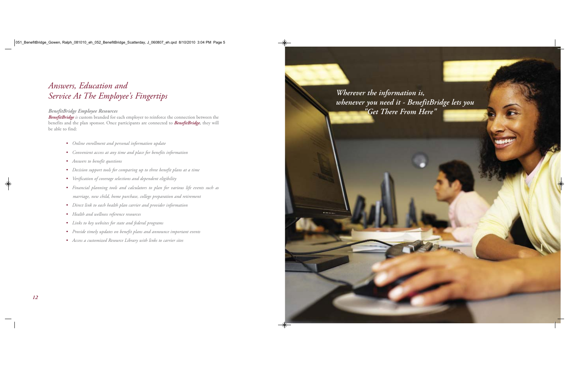# *Answers, Education and Service At The Employee's Fingertips*

# *BenefitBridge Employee Resources*

*BenefitBridge is* custom branded for each employer to reinforce the connection between the benefits and the plan sponsor. Once participants are connected to *BenefitBridge,* they will be able to find:

- *• Online enrollment and personal information update*
- *• Convenient access at any time and place for benefits information*
- *• Answers to benefit questions*
- *• Decision support tools for comparing up to three benefit plans at a time*
- *• Verification of coverage selections and dependent eligibility*
- *• Financial planning tools and calculators to plan for various life events such as marriage, new child, home purchase, college preparation and retirement*
- *• Direct link to each health plan carrier and provider information*
- *• Health and wellness reference resources*
- *• Links to key websites for state and federal programs*
- *• Provide timely updates on benefit plans and announce important events*
- *• Access a customized Resource Library with links to carrier sites*

*Wherever the information is, whenever you need it - BenefitBridge lets you "Get There From Here"*

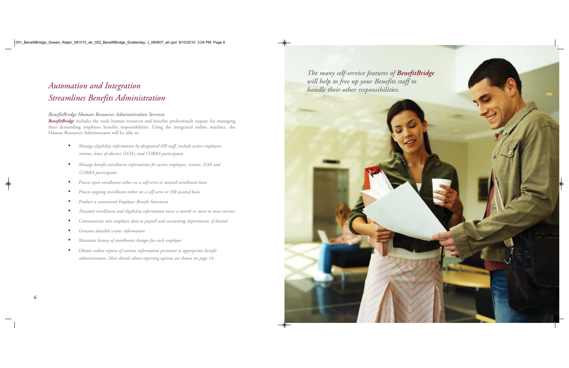# *Automation and Integration Streamlines Benefits Administration*

### *BenefitBridge Human Resources Administration Services*

*BenefitBridge* includes the tools human resources and benefits professionals require for managing their demanding employee benefits responsibilities. Using the integrated online interface, the Human Resources Administrator will be able to:

- *• Manage eligibility information by designated HR staff, include active employees, retirees, leave of absence (LOA), and COBRA participants*
- *• Manage benefit enrollment information for active employees, retirees, LOA and COBRA participants*
- *•Process open enrollment either on a self-serve or assisted enrollment basis*
- *•Process ongoing enrollment either on a self-serve or HR assisted basis*
- *•Produce a customized Employee Benefit Statement*
- *•Transmit enrollment and eligibility information twice a month or more to most carriers*
- *•Communicate new employee data to payroll and accounting departments, if desired*
- *•Generate detailed census information*
- *•Maintain history of enrollment changes for each employee*
- *• Obtain online reports of various information pertinent to appropriate benefit administration. More details about reporting options are shown on page 14.*



*will help to free up your Benefits staff to handle their other responsibilities.*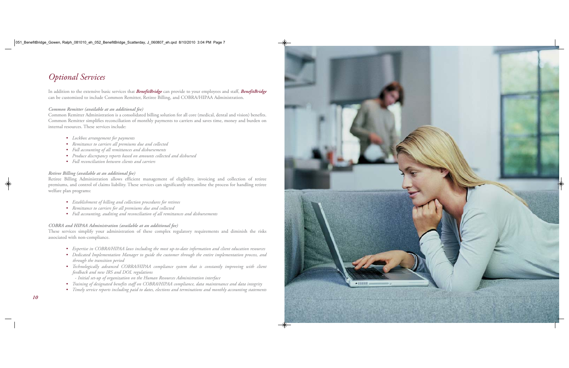# *Optional Services*

In addition to the extensive basic services that *BenefitBridge* can provide to your employees and staff, *BenefitBridge* can be customized to include Common Remitter, Retiree Billing, and COBRA/HIPAA Administration.

#### *Common Remitter (available at an additional fee)*

Common Remitter Administration is a consolidated billing solution for all core (medical, dental and vision) benefits. Common Remitter simplifies reconciliation of monthly payments to carriers and saves time, money and burden on internal resources. These services include:

- *• Lockbox arrangement for payments*
- *• Remittance to carriers all premiums due and collected*
- *• Full accounting of all remittances and disbursements*
- *• Produce discrepancy reports based on amounts collected and disbursed*
- *• Full reconciliation between clients and carriers*

### *Retiree Billing (available at an additional fee)*

Retiree Billing Administration allows efficient management of eligibility, invoicing and collection of retiree premiums, and control of claims liability. These services can significantly streamline the process for handling retiree welfare plan programs:

- *• Establishment of billing and collection procedures for retirees*
- *• Remittance to carriers for all premiums due and collected*
- *• Full accounting, auditing and reconciliation of all remittances and disbursements*

### *COBRA and HIPAA Administration (available at an additional fee)*

These services simplify your administration of these complex regulatory requirements and diminish the risks associated with non-compliance.

- *• Expertise in COBRA/HIPAA laws including the most up-to-date information and client education resources*
- *• Dedicated Implementation Manager to guide the customer through the entire implementation process, and through the transition period*
- *• Technologically advanced COBRA/HIPAA compliance system that is constantly improving with client feedback and new IRS and DOL regulations*
- *- Initial set-up of organization on the Human Resources Administration interface*
- *• Training of designated benefits staff on COBRA/HIPAA compliance, data maintenance and data integrity*
- *• Timely service reports including paid to dates, elections and terminations and monthly accounting statements*